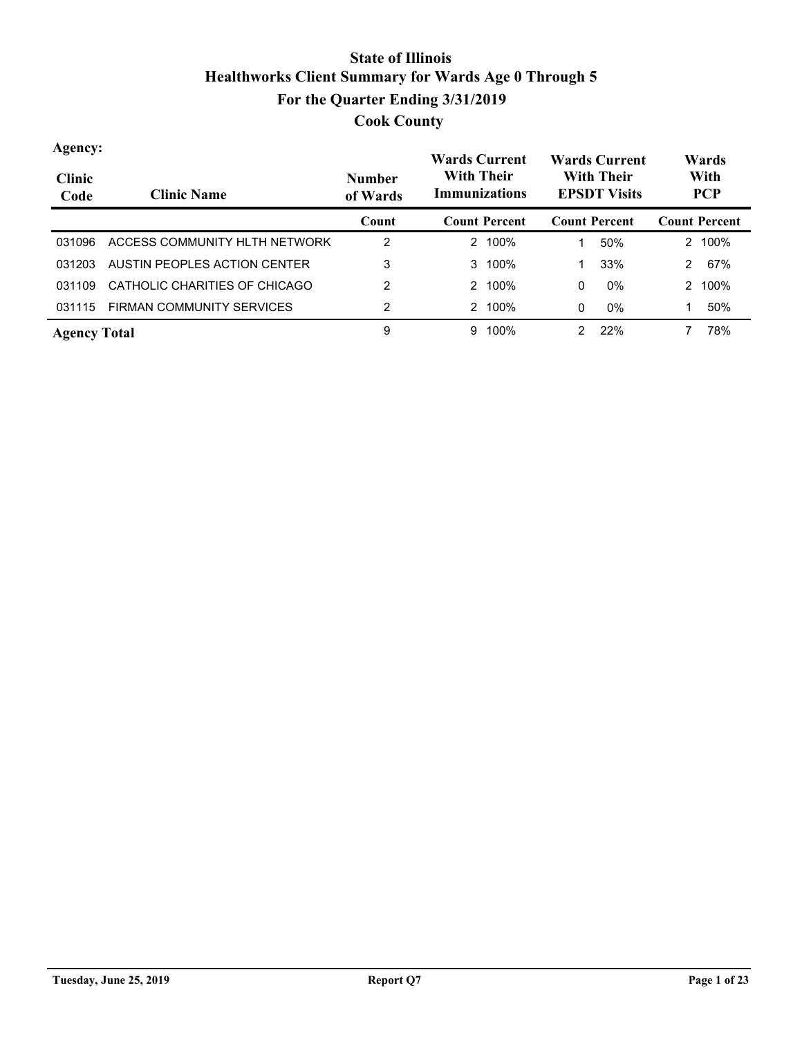| Agency:<br><b>Clinic</b><br>Code | <b>Clinic Name</b>               | <b>Number</b><br>of Wards | <b>Wards Current</b><br><b>With Their</b><br>Immunizations | <b>Wards Current</b><br><b>With Their</b><br><b>EPSDT Visits</b> | Wards<br>With<br><b>PCP</b> |
|----------------------------------|----------------------------------|---------------------------|------------------------------------------------------------|------------------------------------------------------------------|-----------------------------|
|                                  |                                  | Count                     | <b>Count Percent</b>                                       | <b>Count Percent</b>                                             | <b>Count Percent</b>        |
| 031096                           | ACCESS COMMUNITY HLTH NETWORK    | 2                         | 100%<br>2                                                  | 50%                                                              | 2 100%                      |
| 031203                           | AUSTIN PEOPLES ACTION CENTER     | 3                         | 100%<br>3                                                  | 33%                                                              | 67%<br>2                    |
| 031109                           | CATHOLIC CHARITIES OF CHICAGO    | $\overline{2}$            | 100%<br>$\mathcal{P} \equiv$                               | $0\%$<br>0                                                       | 100%<br>2                   |
| 031115                           | <b>FIRMAN COMMUNITY SERVICES</b> | 2                         | 100%<br>2                                                  | $0\%$<br>0                                                       | 50%<br>1                    |
| <b>Agency Total</b>              |                                  | 9                         | 100%<br>9                                                  | 22%<br>$\mathcal{P}$                                             | 78%                         |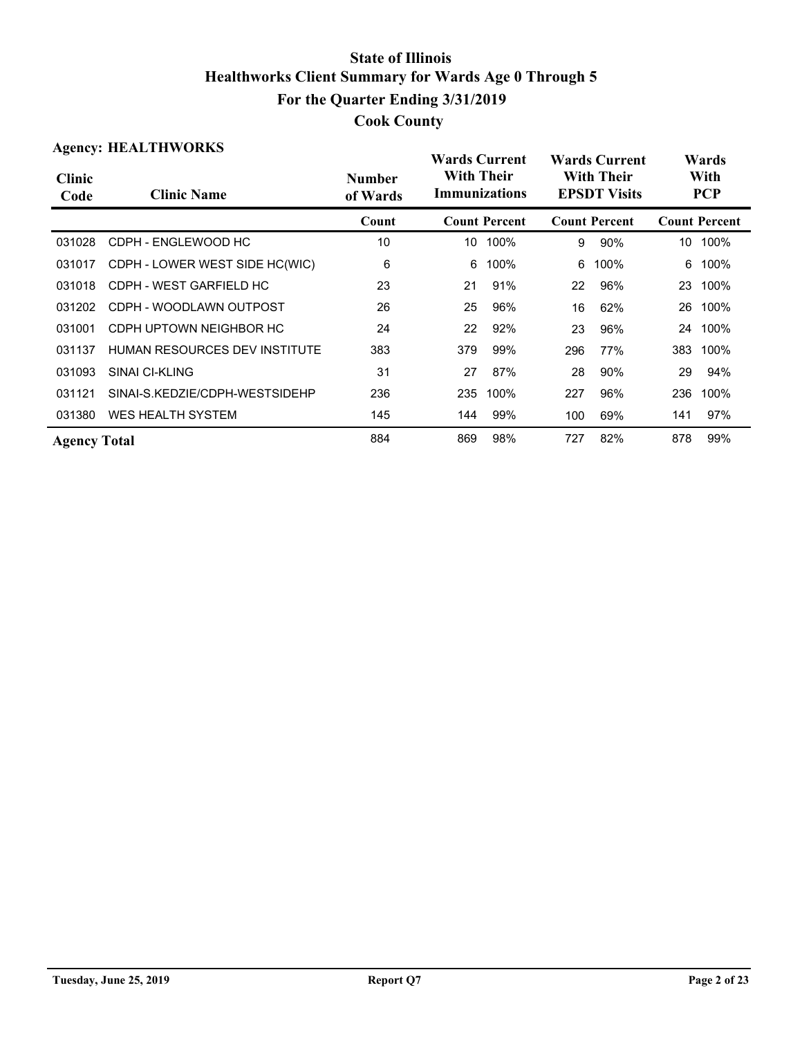| <b>Agency: HEALTHWORKS</b> |                                |                           | <b>Wards Current</b>               |                      |                                          | <b>Wards Current</b> |     | Wards                |  |
|----------------------------|--------------------------------|---------------------------|------------------------------------|----------------------|------------------------------------------|----------------------|-----|----------------------|--|
| <b>Clinic</b><br>Code      | <b>Clinic Name</b>             | <b>Number</b><br>of Wards | With Their<br><b>Immunizations</b> |                      | <b>With Their</b><br><b>EPSDT Visits</b> |                      |     | With<br><b>PCP</b>   |  |
|                            |                                | Count                     |                                    | <b>Count Percent</b> |                                          | <b>Count Percent</b> |     | <b>Count Percent</b> |  |
| 031028                     | CDPH - ENGLEWOOD HC            | 10                        | 10                                 | 100%                 | 9                                        | 90%                  | 10  | 100%                 |  |
| 031017                     | CDPH - LOWER WEST SIDE HC(WIC) | 6                         | 6                                  | 100%                 | 6                                        | 100%                 | 6   | 100%                 |  |
| 031018                     | CDPH - WEST GARFIELD HC        | 23                        | 21                                 | 91%                  | 22                                       | 96%                  | 23  | 100%                 |  |
| 031202                     | CDPH - WOODLAWN OUTPOST        | 26                        | 25                                 | 96%                  | 16                                       | 62%                  | 26  | 100%                 |  |
| 031001                     | CDPH UPTOWN NEIGHBOR HC        | 24                        | 22                                 | 92%                  | 23                                       | 96%                  | 24  | 100%                 |  |
| 031137                     | HUMAN RESOURCES DEV INSTITUTE  | 383                       | 379                                | 99%                  | 296                                      | 77%                  | 383 | 100%                 |  |
| 031093                     | <b>SINAI CI-KLING</b>          | 31                        | 27                                 | 87%                  | 28                                       | 90%                  | 29  | 94%                  |  |
| 031121                     | SINAI-S.KEDZIE/CDPH-WESTSIDEHP | 236                       | 235                                | 100%                 | 227                                      | 96%                  | 236 | 100%                 |  |
| 031380                     | <b>WES HEALTH SYSTEM</b>       | 145                       | 144                                | 99%                  | 100                                      | 69%                  | 141 | 97%                  |  |
| <b>Agency Total</b>        |                                | 884                       | 869                                | 98%                  | 727                                      | 82%                  | 878 | 99%                  |  |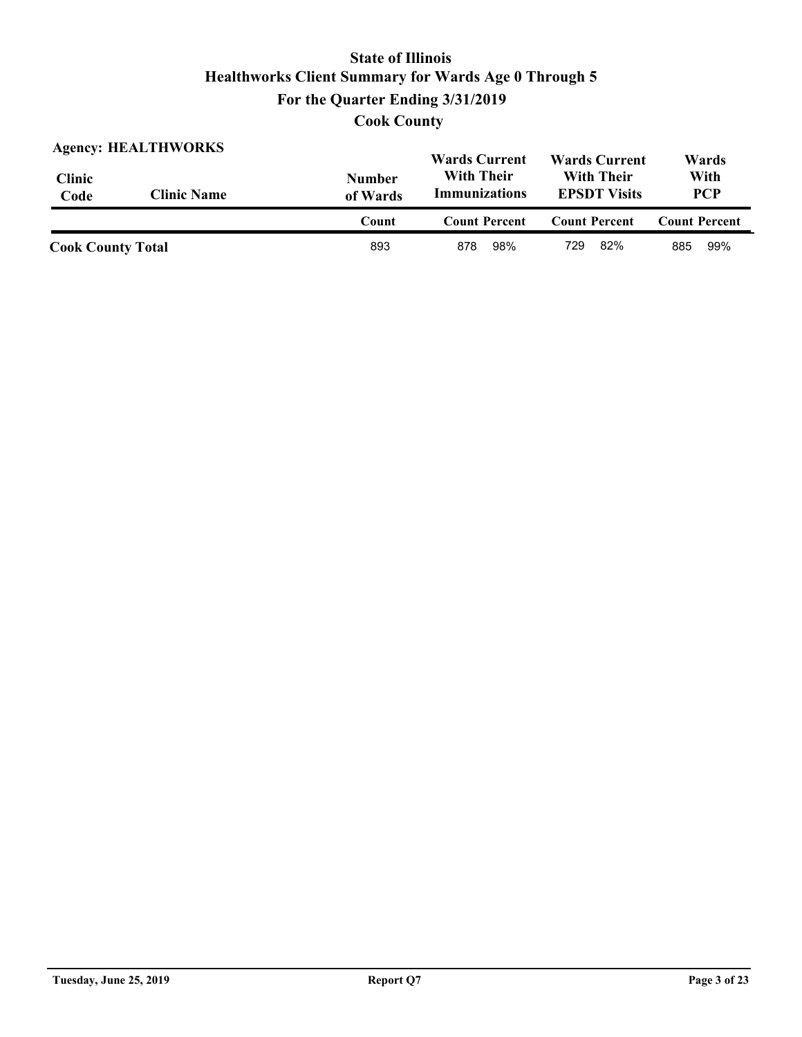| <b>Agency: HEALTHWORKS</b> |                    |                           | <b>Wards Current</b>                      | <b>Wards Current</b>                     | Wards                |
|----------------------------|--------------------|---------------------------|-------------------------------------------|------------------------------------------|----------------------|
| <b>Clinic</b><br>Code      | <b>Clinic Name</b> | <b>Number</b><br>of Wards | <b>With Their</b><br><b>Immunizations</b> | <b>With Their</b><br><b>EPSDT Visits</b> | With<br><b>PCP</b>   |
|                            |                    | Count                     | <b>Count Percent</b>                      | <b>Count Percent</b>                     | <b>Count Percent</b> |
| <b>Cook County Total</b>   |                    | 893                       | 98%<br>878                                | 82%<br>729                               | 99%<br>885           |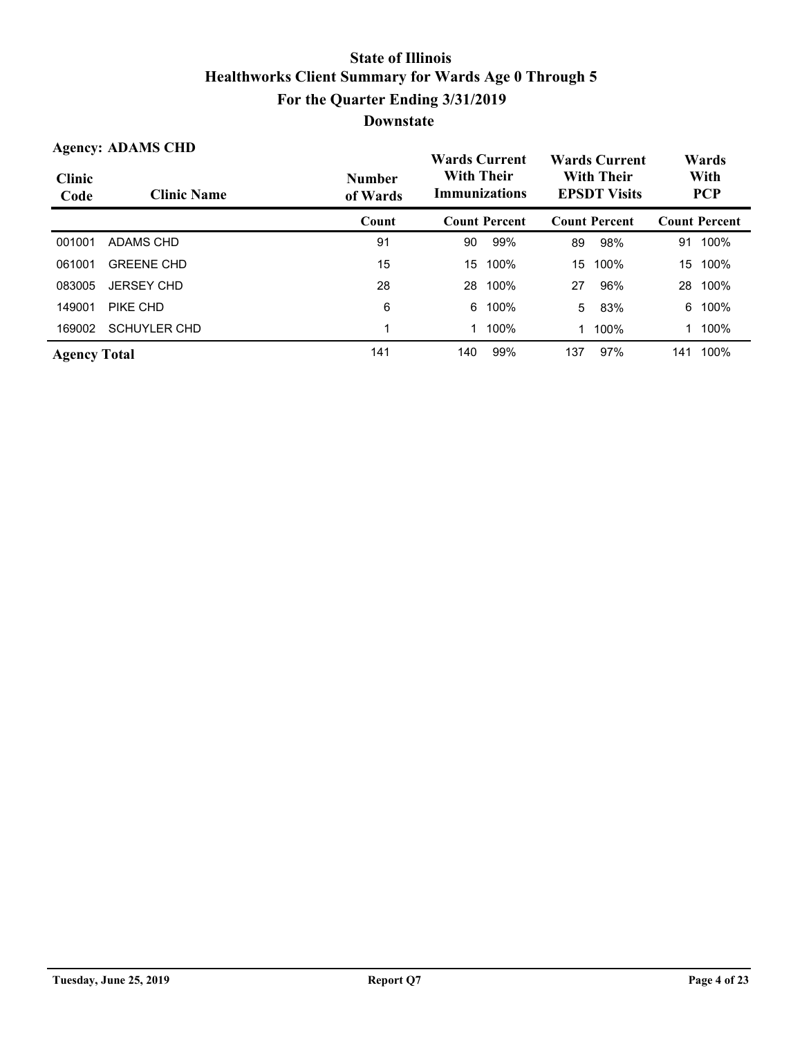| <b>Agency: ADAMS CHD</b> |                     |                           | <b>Wards Current</b>                      |                      | <b>Wards Current</b> |                      | Wards |                      |  |                                          |  |                    |
|--------------------------|---------------------|---------------------------|-------------------------------------------|----------------------|----------------------|----------------------|-------|----------------------|--|------------------------------------------|--|--------------------|
| <b>Clinic</b><br>Code    | <b>Clinic Name</b>  | <b>Number</b><br>of Wards | <b>With Their</b><br><b>Immunizations</b> |                      |                      |                      |       |                      |  | <b>With Their</b><br><b>EPSDT Visits</b> |  | With<br><b>PCP</b> |
|                          |                     | Count                     |                                           | <b>Count Percent</b> |                      | <b>Count Percent</b> |       | <b>Count Percent</b> |  |                                          |  |                    |
| 001001                   | <b>ADAMS CHD</b>    | 91                        | 90                                        | 99%                  | 89                   | 98%                  | 91    | 100%                 |  |                                          |  |                    |
| 061001                   | <b>GREENE CHD</b>   | 15                        | 15                                        | 100%                 | 15                   | 100%                 | 15    | 100%                 |  |                                          |  |                    |
| 083005                   | <b>JERSEY CHD</b>   | 28                        | 28                                        | 100%                 | 27                   | 96%                  | 28    | 100%                 |  |                                          |  |                    |
| 149001                   | PIKE CHD            | 6                         | 6                                         | 100%                 | 5                    | 83%                  | 6     | 100%                 |  |                                          |  |                    |
| 169002                   | <b>SCHUYLER CHD</b> | 1                         |                                           | 100%                 | 1                    | 100%                 |       | 100%                 |  |                                          |  |                    |
| <b>Agency Total</b>      |                     | 141                       | 140                                       | 99%                  | 137                  | 97%                  | 141   | 100%                 |  |                                          |  |                    |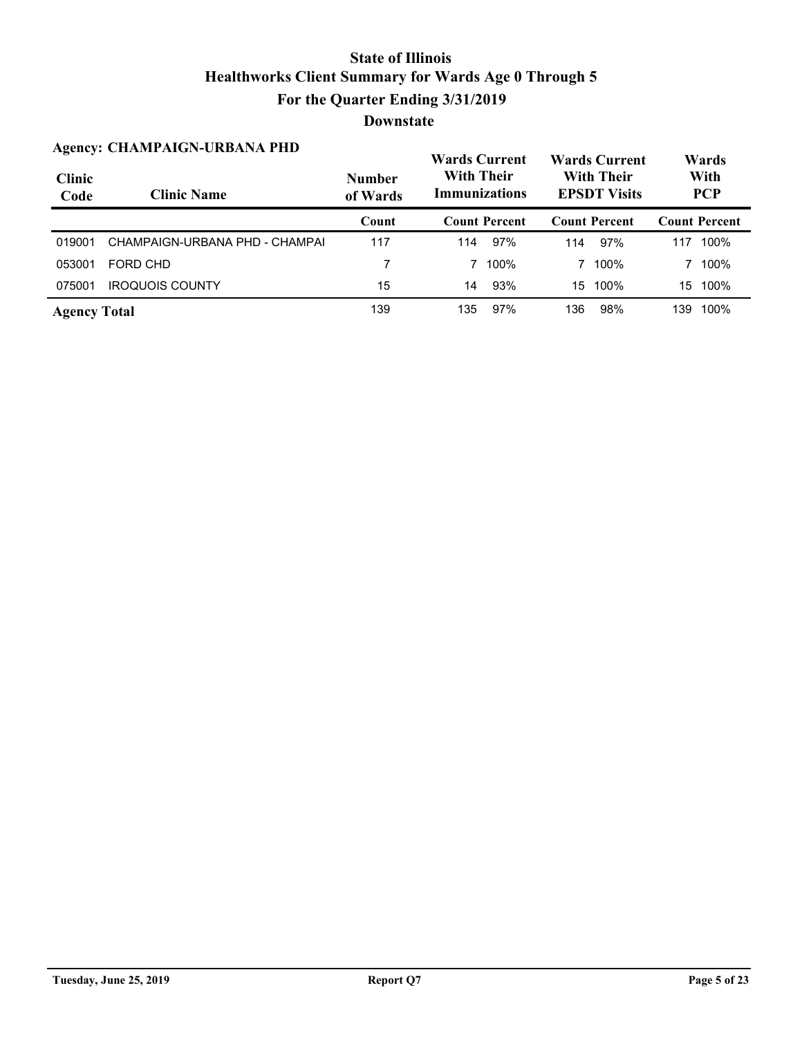|                       | <b>Agency: CHAMPAIGN-URBANA PHD</b> | <b>Wards Current</b>      |     |                                           |     | <b>Wards Current</b>                     | Wards |                      |  |
|-----------------------|-------------------------------------|---------------------------|-----|-------------------------------------------|-----|------------------------------------------|-------|----------------------|--|
| <b>Clinic</b><br>Code | <b>Clinic Name</b>                  | <b>Number</b><br>of Wards |     | <b>With Their</b><br><b>Immunizations</b> |     | <b>With Their</b><br><b>EPSDT Visits</b> |       | With<br><b>PCP</b>   |  |
|                       |                                     | Count                     |     | <b>Count Percent</b>                      |     | <b>Count Percent</b>                     |       | <b>Count Percent</b> |  |
| 019001                | CHAMPAIGN-URBANA PHD - CHAMPAI      | 117                       | 114 | 97%                                       | 114 | 97%                                      | 117   | 100%                 |  |
| 053001                | FORD CHD                            | 7                         |     | 100%                                      |     | 100%                                     |       | 100%                 |  |
| 075001                | <b>IROQUOIS COUNTY</b>              | 15                        | 14  | 93%                                       | 15  | 100%                                     | 15    | 100%                 |  |
| <b>Agency Total</b>   |                                     | 139                       | 135 | 97%                                       | 136 | 98%                                      | 139   | 100%                 |  |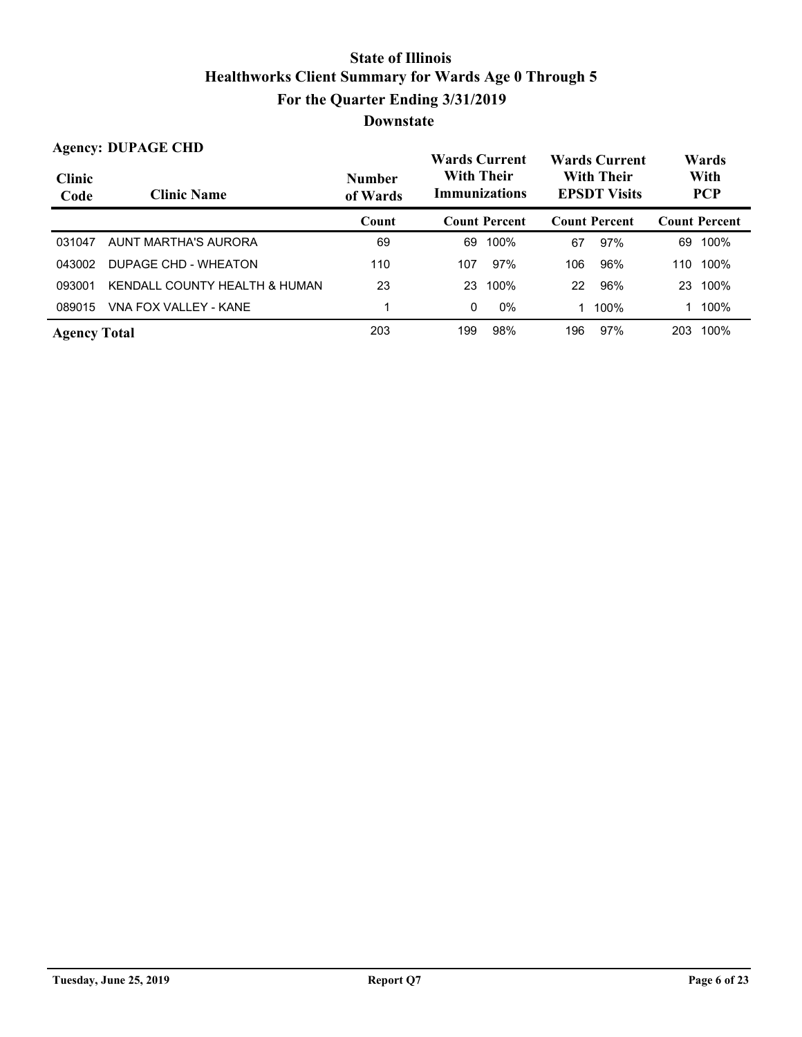|                       | <b>Agency: DUPAGE CHD</b>     |                           | <b>Wards Current</b>                      |                      | <b>Wards Current</b>                     |                      | Wards |                      |
|-----------------------|-------------------------------|---------------------------|-------------------------------------------|----------------------|------------------------------------------|----------------------|-------|----------------------|
| <b>Clinic</b><br>Code | <b>Clinic Name</b>            | <b>Number</b><br>of Wards | <b>With Their</b><br><b>Immunizations</b> |                      | <b>With Their</b><br><b>EPSDT Visits</b> |                      |       | With<br><b>PCP</b>   |
|                       |                               | Count                     |                                           | <b>Count Percent</b> |                                          | <b>Count Percent</b> |       | <b>Count Percent</b> |
| 031047                | AUNT MARTHA'S AURORA          | 69                        | 69                                        | 100%                 | 67                                       | 97%                  | 69    | 100%                 |
| 043002                | DUPAGE CHD - WHEATON          | 110                       | 107                                       | 97%                  | 106                                      | 96%                  | 110   | 100%                 |
| 093001                | KENDALL COUNTY HEALTH & HUMAN | 23                        | 23                                        | 100%                 | 22                                       | 96%                  | 23    | 100%                 |
| 089015                | VNA FOX VALLEY - KANE         |                           | 0                                         | $0\%$                | 1                                        | 100%                 |       | 100%                 |
| <b>Agency Total</b>   |                               | 203                       | 199                                       | 98%                  | 196                                      | 97%                  | 203   | 100%                 |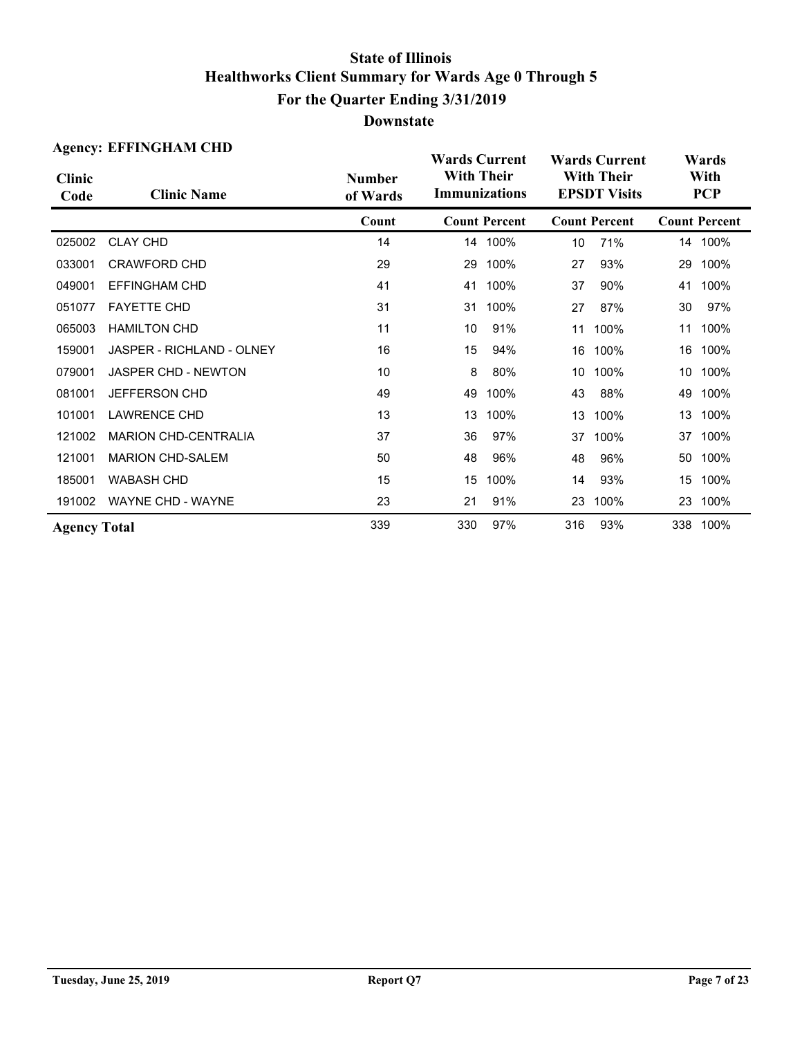| <b>Agency: EFFINGHAM CHD</b> |                             |                           |                                                                   |                      |                                          | <b>Wards Current</b> | Wards |                      |  |
|------------------------------|-----------------------------|---------------------------|-------------------------------------------------------------------|----------------------|------------------------------------------|----------------------|-------|----------------------|--|
| <b>Clinic</b><br>Code        | <b>Clinic Name</b>          | <b>Number</b><br>of Wards | <b>Wards Current</b><br><b>With Their</b><br><b>Immunizations</b> |                      | <b>With Their</b><br><b>EPSDT Visits</b> |                      |       | With<br><b>PCP</b>   |  |
|                              |                             | Count                     |                                                                   | <b>Count Percent</b> |                                          | <b>Count Percent</b> |       | <b>Count Percent</b> |  |
| 025002                       | <b>CLAY CHD</b>             | 14                        |                                                                   | 14 100%              | 10                                       | 71%                  |       | 14 100%              |  |
| 033001                       | <b>CRAWFORD CHD</b>         | 29                        | 29                                                                | 100%                 | 27                                       | 93%                  | 29    | 100%                 |  |
| 049001                       | EFFINGHAM CHD               | 41                        | 41                                                                | 100%                 | 37                                       | 90%                  | 41    | 100%                 |  |
| 051077                       | <b>FAYETTE CHD</b>          | 31                        | 31                                                                | 100%                 | 27                                       | 87%                  | 30    | 97%                  |  |
| 065003                       | <b>HAMILTON CHD</b>         | 11                        | 10                                                                | 91%                  | 11                                       | 100%                 | 11    | 100%                 |  |
| 159001                       | JASPER - RICHLAND - OLNEY   | 16                        | 15                                                                | 94%                  | 16                                       | 100%                 | 16    | 100%                 |  |
| 079001                       | <b>JASPER CHD - NEWTON</b>  | 10                        | 8                                                                 | 80%                  | 10                                       | 100%                 | 10    | 100%                 |  |
| 081001                       | <b>JEFFERSON CHD</b>        | 49                        | 49                                                                | 100%                 | 43                                       | 88%                  | 49    | 100%                 |  |
| 101001                       | <b>LAWRENCE CHD</b>         | 13                        | 13                                                                | 100%                 | 13                                       | 100%                 | 13    | 100%                 |  |
| 121002                       | <b>MARION CHD-CENTRALIA</b> | 37                        | 36                                                                | 97%                  | 37                                       | 100%                 | 37    | 100%                 |  |
| 121001                       | <b>MARION CHD-SALEM</b>     | 50                        | 48                                                                | 96%                  | 48                                       | 96%                  | 50    | 100%                 |  |
| 185001                       | <b>WABASH CHD</b>           | 15                        | 15                                                                | 100%                 | 14                                       | 93%                  | 15    | 100%                 |  |
| 191002                       | <b>WAYNE CHD - WAYNE</b>    | 23                        | 21                                                                | 91%                  | 23                                       | 100%                 | 23    | 100%                 |  |
| <b>Agency Total</b>          |                             | 339                       | 330                                                               | 97%                  | 316                                      | 93%                  |       | 338 100%             |  |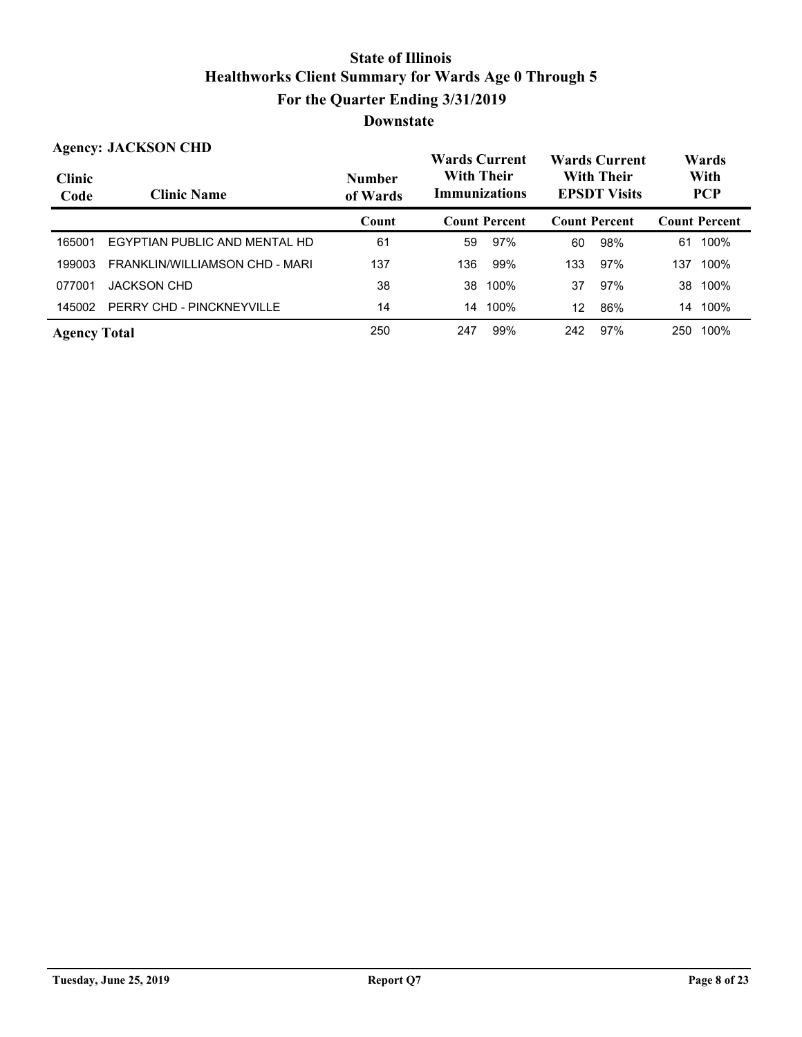|                       | <b>Agency: JACKSON CHD</b>     |                           | <b>Wards Current</b>                      |                      | <b>Wards Current</b>                     |     | Wards |                      |
|-----------------------|--------------------------------|---------------------------|-------------------------------------------|----------------------|------------------------------------------|-----|-------|----------------------|
| <b>Clinic</b><br>Code | <b>Clinic Name</b>             | <b>Number</b><br>of Wards | <b>With Their</b><br><b>Immunizations</b> |                      | <b>With Their</b><br><b>EPSDT Visits</b> |     |       | With<br><b>PCP</b>   |
|                       |                                | Count                     |                                           | <b>Count Percent</b> | <b>Count Percent</b>                     |     |       | <b>Count Percent</b> |
| 165001                | EGYPTIAN PUBLIC AND MENTAL HD  | 61                        | 59                                        | 97%                  | 60                                       | 98% | 61    | 100%                 |
| 199003                | FRANKLIN/WILLIAMSON CHD - MARI | 137                       | 136                                       | 99%                  | 133                                      | 97% | 137   | 100%                 |
| 077001                | <b>JACKSON CHD</b>             | 38                        | 38                                        | 100%                 | 37                                       | 97% | 38    | 100%                 |
| 145002                | PERRY CHD - PINCKNEYVILLE      | 14                        | 14                                        | 100%                 | 12                                       | 86% | 14    | 100%                 |
| <b>Agency Total</b>   |                                | 250                       | 247                                       | 99%                  | 242                                      | 97% | 250   | 100%                 |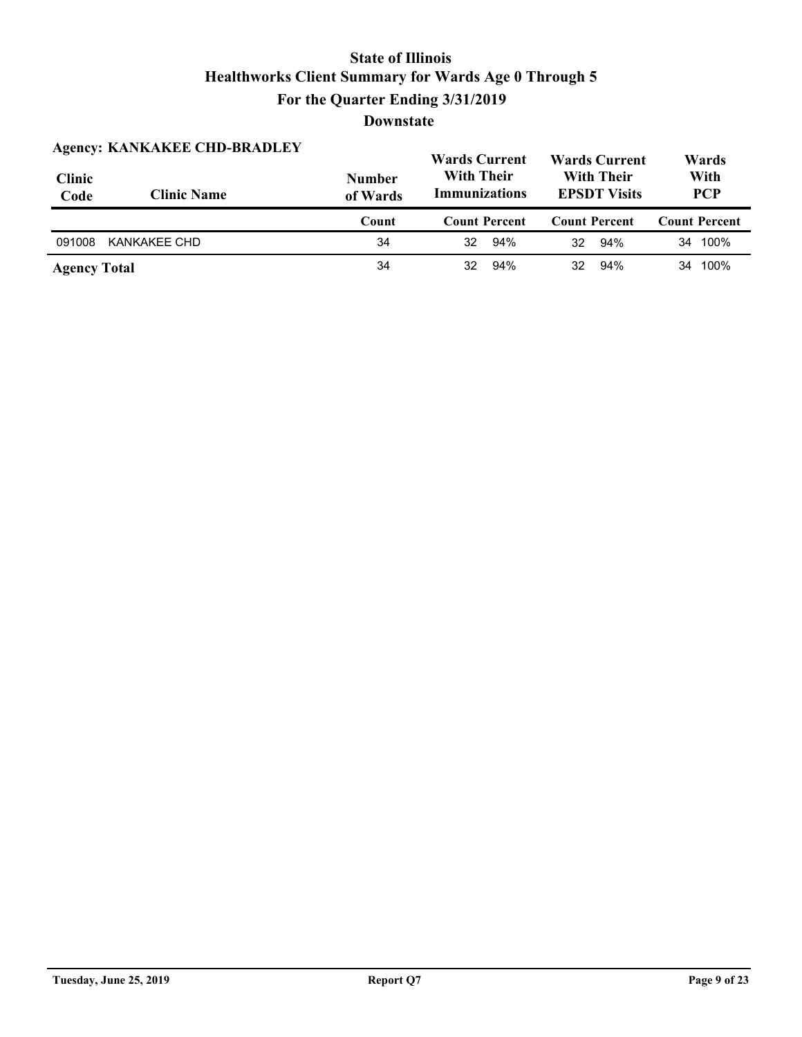| <b>Clinic</b><br>Code | <b>Agency: KANKAKEE CHD-BRADLEY</b><br><b>Clinic Name</b> | <b>Number</b><br>of Wards | <b>Wards Current</b><br><b>With Their</b><br><b>Immunizations</b> | <b>Wards Current</b><br><b>With Their</b><br><b>EPSDT Visits</b> |                      |
|-----------------------|-----------------------------------------------------------|---------------------------|-------------------------------------------------------------------|------------------------------------------------------------------|----------------------|
|                       |                                                           | Count                     | <b>Count Percent</b>                                              | <b>Count Percent</b>                                             | <b>Count Percent</b> |
| 091008                | KANKAKEE CHD                                              | 34                        | 94%<br>32                                                         | 94%<br>32                                                        | 34 100%              |
| <b>Agency Total</b>   |                                                           | 34                        | 94%<br>32                                                         | 94%<br>32                                                        | 34 100%              |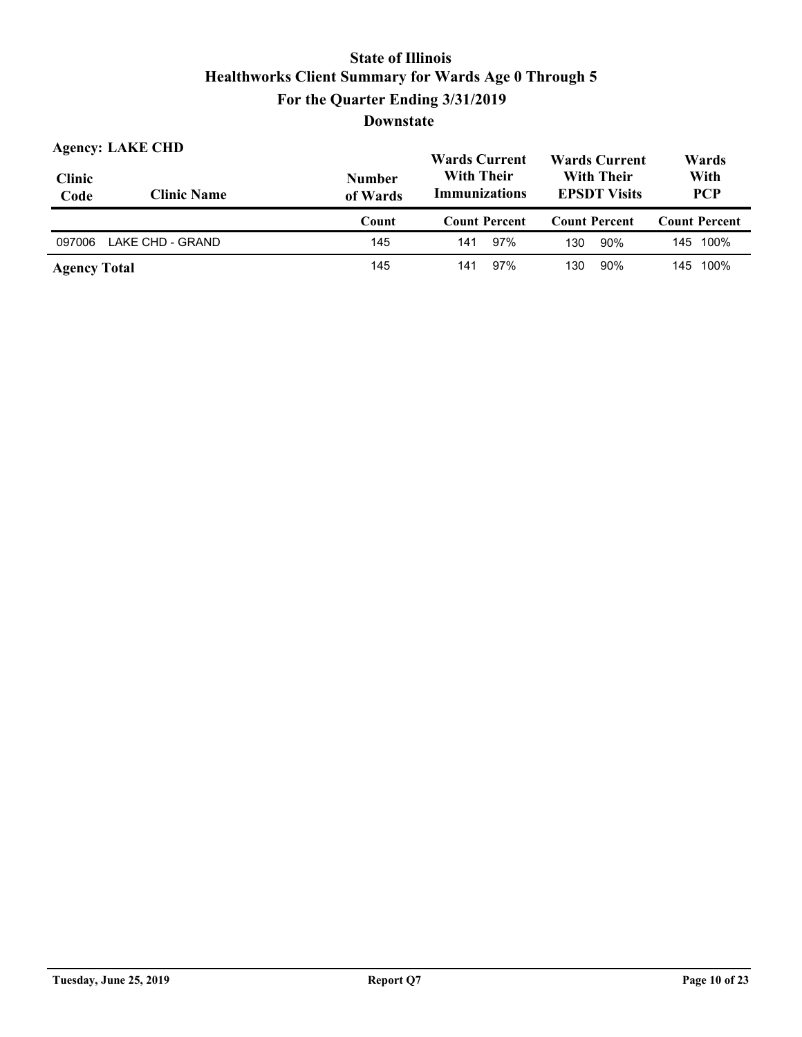| <b>Agency: LAKE CHD</b><br><b>Clinic</b> |                    | <b>Number</b> | <b>Wards Current</b><br><b>With Their</b> |                      | <b>Wards Current</b><br><b>With Their</b> |                      | Wards<br>With |                      |
|------------------------------------------|--------------------|---------------|-------------------------------------------|----------------------|-------------------------------------------|----------------------|---------------|----------------------|
| Code                                     | <b>Clinic Name</b> | of Wards      | <b>Immunizations</b>                      |                      | <b>EPSDT Visits</b>                       |                      | <b>PCP</b>    |                      |
|                                          |                    | Count         |                                           | <b>Count Percent</b> |                                           | <b>Count Percent</b> |               | <b>Count Percent</b> |
| 097006                                   | LAKE CHD - GRAND   | 145           | 141                                       | 97%                  | 130                                       | 90%                  |               | 145 100%             |
| <b>Agency Total</b>                      |                    | 145           | 141                                       | 97%                  | 130                                       | 90%                  |               | 145 100%             |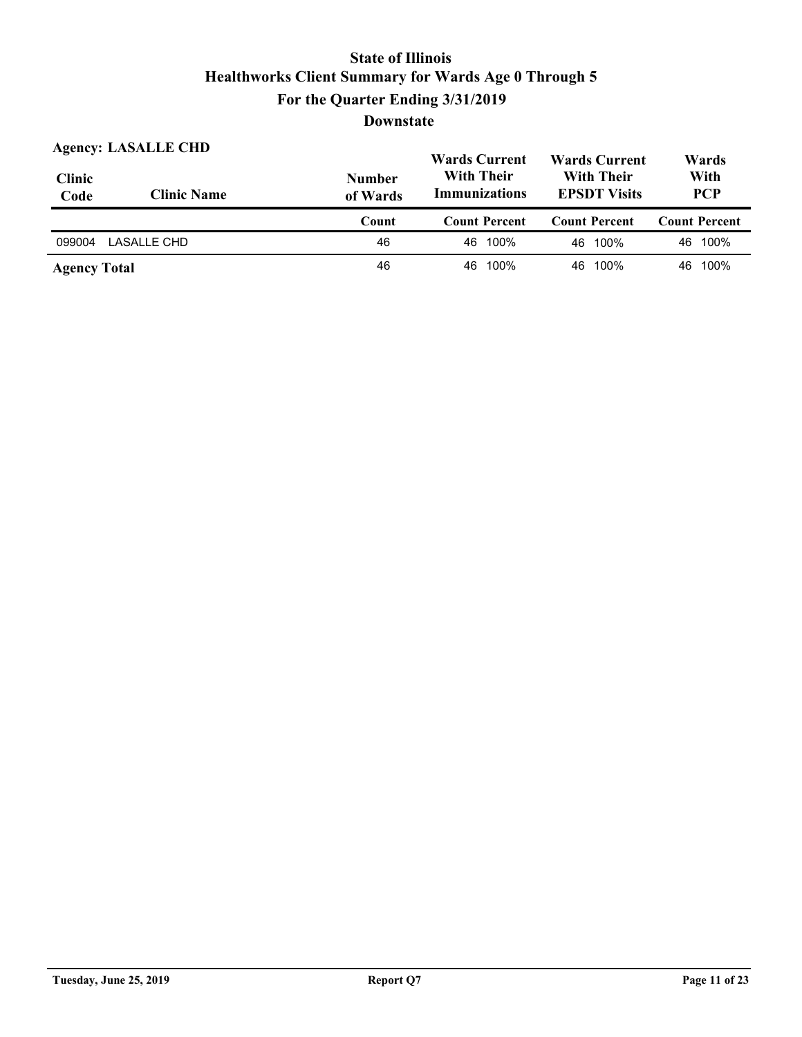| <b>Agency: LASALLE CHD</b> |                    |                           | <b>Wards Current</b>                      |                                          | Wards                |  |
|----------------------------|--------------------|---------------------------|-------------------------------------------|------------------------------------------|----------------------|--|
| <b>Clinic</b><br>Code      | <b>Clinic Name</b> | <b>Number</b><br>of Wards | <b>With Their</b><br><b>Immunizations</b> | <b>With Their</b><br><b>EPSDT Visits</b> | With<br><b>PCP</b>   |  |
|                            |                    |                           |                                           |                                          |                      |  |
|                            |                    | Count                     | <b>Count Percent</b>                      | <b>Count Percent</b>                     | <b>Count Percent</b> |  |
| 099004                     | LASALLE CHD        | 46                        | 100%<br>46.                               | 46 100%                                  | 46 100%              |  |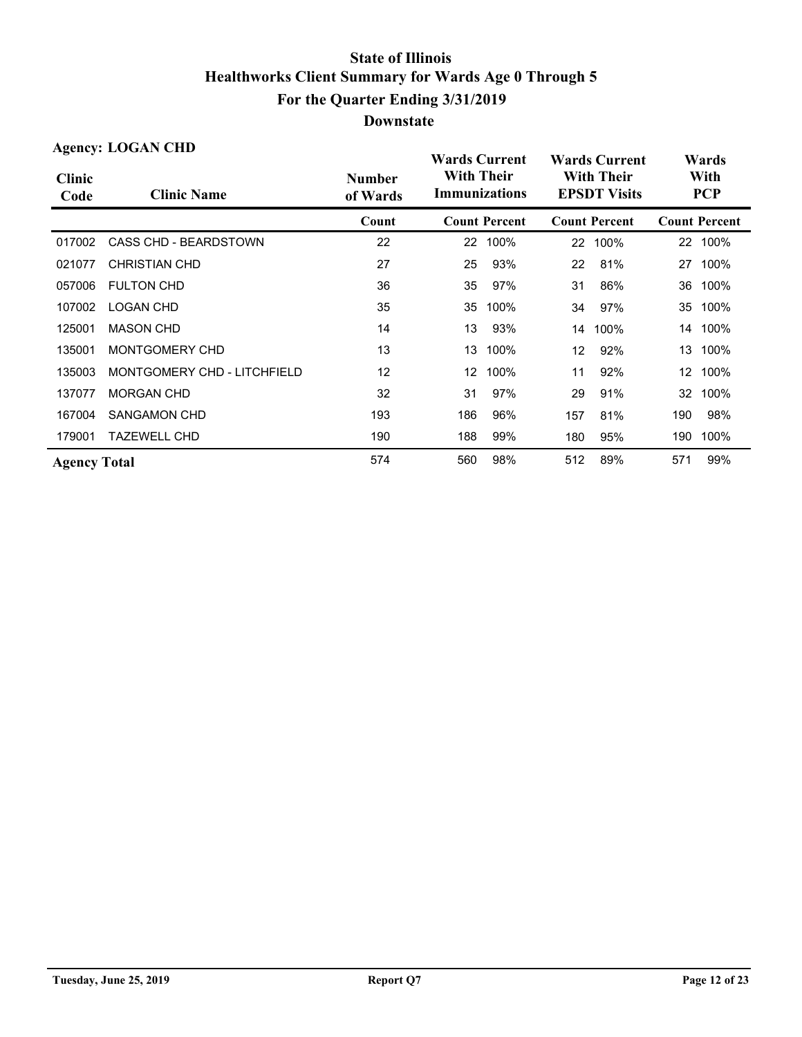| <b>Agency: LOGAN CHD</b> |                                                 |       | <b>Wards Current</b>                      |                      |     | <b>Wards Current</b>                     | Wards           |                      |  |
|--------------------------|-------------------------------------------------|-------|-------------------------------------------|----------------------|-----|------------------------------------------|-----------------|----------------------|--|
| <b>Clinic</b><br>Code    | <b>Number</b><br><b>Clinic Name</b><br>of Wards |       | <b>With Their</b><br><b>Immunizations</b> |                      |     | <b>With Their</b><br><b>EPSDT Visits</b> |                 | With<br><b>PCP</b>   |  |
|                          |                                                 | Count |                                           | <b>Count Percent</b> |     | <b>Count Percent</b>                     |                 | <b>Count Percent</b> |  |
| 017002                   | <b>CASS CHD - BEARDSTOWN</b>                    | 22    | 22                                        | 100%                 | 22  | 100%                                     | 22 <sub>2</sub> | 100%                 |  |
| 021077                   | <b>CHRISTIAN CHD</b>                            | 27    | 25                                        | 93%                  | 22  | 81%                                      | 27              | 100%                 |  |
| 057006                   | <b>FULTON CHD</b>                               | 36    | 35                                        | 97%                  | 31  | 86%                                      | 36              | 100%                 |  |
| 107002                   | <b>LOGAN CHD</b>                                | 35    | 35                                        | 100%                 | 34  | 97%                                      | 35              | 100%                 |  |
| 125001                   | <b>MASON CHD</b>                                | 14    | 13                                        | 93%                  | 14  | 100%                                     | 14              | 100%                 |  |
| 135001                   | MONTGOMERY CHD                                  | 13    | 13                                        | 100%                 | 12  | 92%                                      | 13              | 100%                 |  |
| 135003                   | MONTGOMERY CHD - LITCHFIELD                     | 12    | 12                                        | 100%                 | 11  | 92%                                      | 12 <sup>°</sup> | 100%                 |  |
| 137077                   | <b>MORGAN CHD</b>                               | 32    | 31                                        | 97%                  | 29  | 91%                                      | 32              | 100%                 |  |
| 167004                   | <b>SANGAMON CHD</b>                             | 193   | 186                                       | 96%                  | 157 | 81%                                      | 190             | 98%                  |  |
| 179001                   | <b>TAZEWELL CHD</b>                             | 190   | 188                                       | 99%                  | 180 | 95%                                      | 190             | 100%                 |  |
| <b>Agency Total</b>      |                                                 | 574   | 560                                       | 98%                  | 512 | 89%                                      | 571             | 99%                  |  |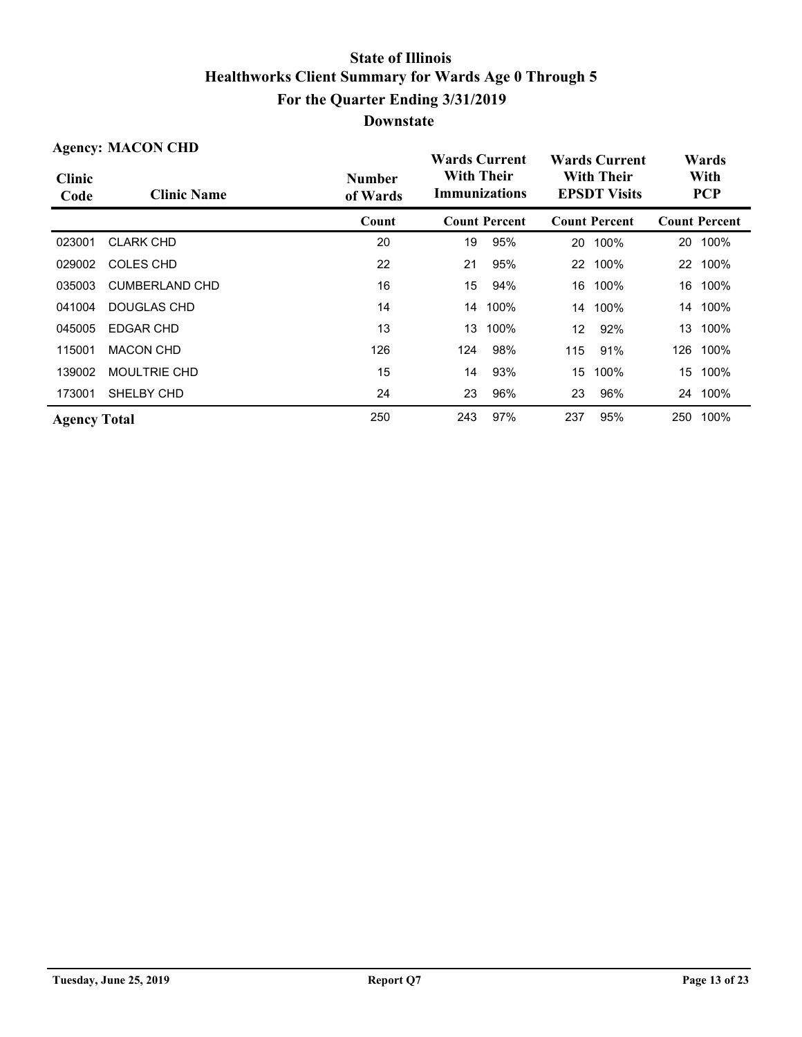| <b>Agency: MACON CHD</b> |                       |                           | <b>Wards Current</b>               |                      | <b>Wards Current</b>                     |                      | Wards |                      |                    |  |
|--------------------------|-----------------------|---------------------------|------------------------------------|----------------------|------------------------------------------|----------------------|-------|----------------------|--------------------|--|
| <b>Clinic</b><br>Code    | <b>Clinic Name</b>    | <b>Number</b><br>of Wards | <b>With Their</b><br>Immunizations |                      | <b>With Their</b><br><b>EPSDT Visits</b> |                      |       |                      | With<br><b>PCP</b> |  |
|                          |                       | Count                     |                                    | <b>Count Percent</b> |                                          | <b>Count Percent</b> |       | <b>Count Percent</b> |                    |  |
| 023001                   | <b>CLARK CHD</b>      | 20                        | 19                                 | 95%                  | 20                                       | 100%                 | 20    | 100%                 |                    |  |
| 029002                   | COLES CHD             | 22                        | 21                                 | 95%                  | 22                                       | 100%                 | 22    | 100%                 |                    |  |
| 035003                   | <b>CUMBERLAND CHD</b> | 16                        | 15                                 | 94%                  | 16                                       | 100%                 |       | 16 100%              |                    |  |
| 041004                   | DOUGLAS CHD           | 14                        |                                    | 14 100%              | 14                                       | 100%                 |       | 14 100%              |                    |  |
| 045005                   | <b>EDGAR CHD</b>      | 13                        | 13                                 | 100%                 | 12                                       | 92%                  | 13    | 100%                 |                    |  |
| 115001                   | <b>MACON CHD</b>      | 126                       | 124                                | 98%                  | 115                                      | 91%                  | 126   | 100%                 |                    |  |
| 139002                   | <b>MOULTRIE CHD</b>   | 15                        | 14                                 | 93%                  | 15                                       | 100%                 | 15    | 100%                 |                    |  |
| 173001                   | SHELBY CHD            | 24                        | 23                                 | 96%                  | 23                                       | 96%                  | 24    | 100%                 |                    |  |
| <b>Agency Total</b>      |                       | 250                       | 243                                | 97%                  | 237                                      | 95%                  | 250   | 100%                 |                    |  |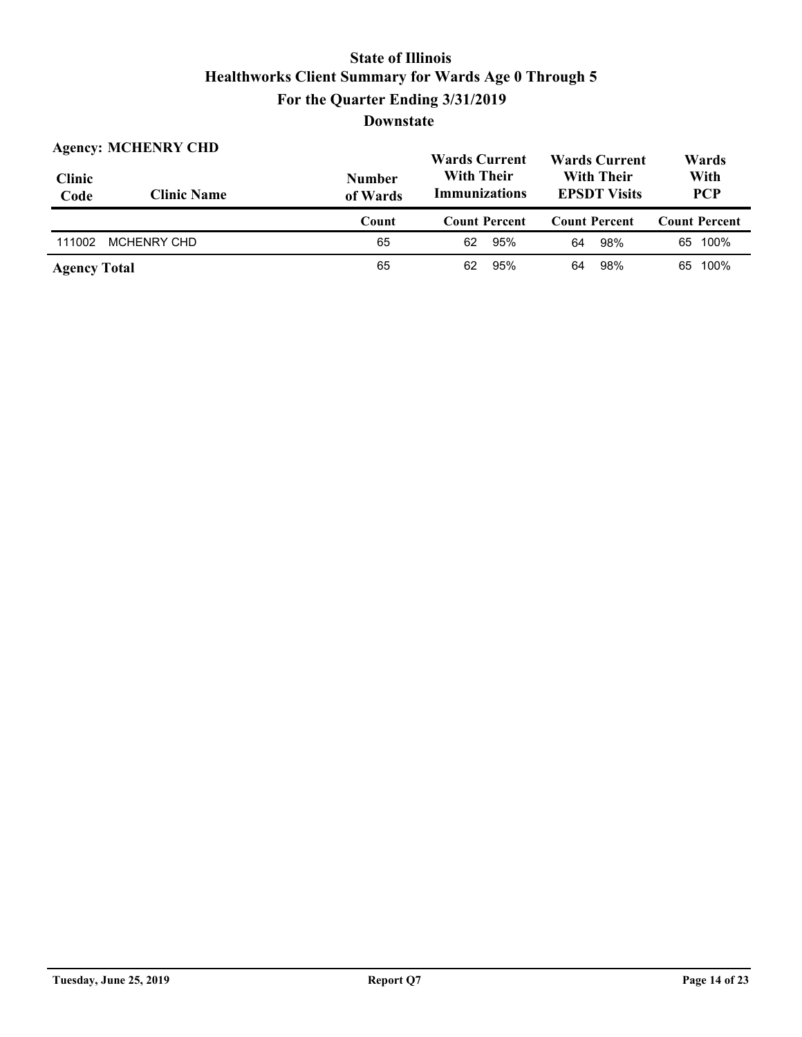|                       | <b>Agency: MCHENRY CHD</b> |                           | <b>Wards Current</b>                                                                  | <b>Wards Current</b> | Wards                |  |
|-----------------------|----------------------------|---------------------------|---------------------------------------------------------------------------------------|----------------------|----------------------|--|
| <b>Clinic</b><br>Code | <b>Clinic Name</b>         | <b>Number</b><br>of Wards | <b>With Their</b><br><b>With Their</b><br><b>Immunizations</b><br><b>EPSDT Visits</b> |                      | With<br><b>PCP</b>   |  |
|                       |                            |                           |                                                                                       |                      |                      |  |
|                       |                            | Count                     | <b>Count Percent</b>                                                                  | <b>Count Percent</b> | <b>Count Percent</b> |  |
| 111002                | <b>MCHENRY CHD</b>         | 65                        | 95%<br>62                                                                             | 98%<br>64            | 65 100%              |  |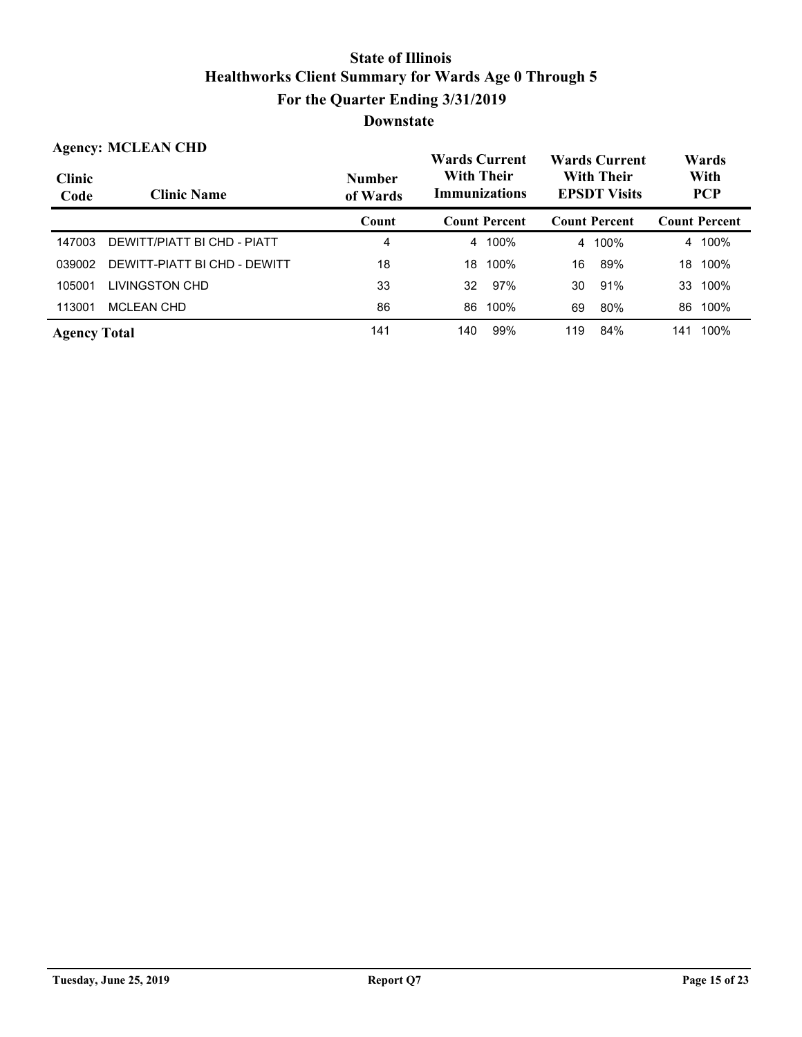|                       | <b>Agency: MCLEAN CHD</b>    | <b>Wards Current</b>      |     |                                           |     | <b>Wards Current</b>                     | Wards |                      |
|-----------------------|------------------------------|---------------------------|-----|-------------------------------------------|-----|------------------------------------------|-------|----------------------|
| <b>Clinic</b><br>Code | <b>Clinic Name</b>           | <b>Number</b><br>of Wards |     | <b>With Their</b><br><b>Immunizations</b> |     | <b>With Their</b><br><b>EPSDT Visits</b> |       | With<br><b>PCP</b>   |
|                       |                              | Count                     |     | <b>Count Percent</b>                      |     | <b>Count Percent</b>                     |       | <b>Count Percent</b> |
| 147003                | DEWITT/PIATT BI CHD - PIATT  | 4                         |     | 4 100%                                    |     | 4 100%                                   |       | 4 100%               |
| 039002                | DEWITT-PIATT BI CHD - DEWITT | 18                        | 18  | 100%                                      | 16  | 89%                                      | 18    | 100%                 |
| 105001                | LIVINGSTON CHD               | 33                        | 32  | 97%                                       | 30  | 91%                                      | 33    | 100%                 |
| 113001                | <b>MCLEAN CHD</b>            | 86                        | 86  | 100%                                      | 69  | 80%                                      | 86    | 100%                 |
| <b>Agency Total</b>   |                              | 141                       | 140 | 99%                                       | 119 | 84%                                      | 141   | 100%                 |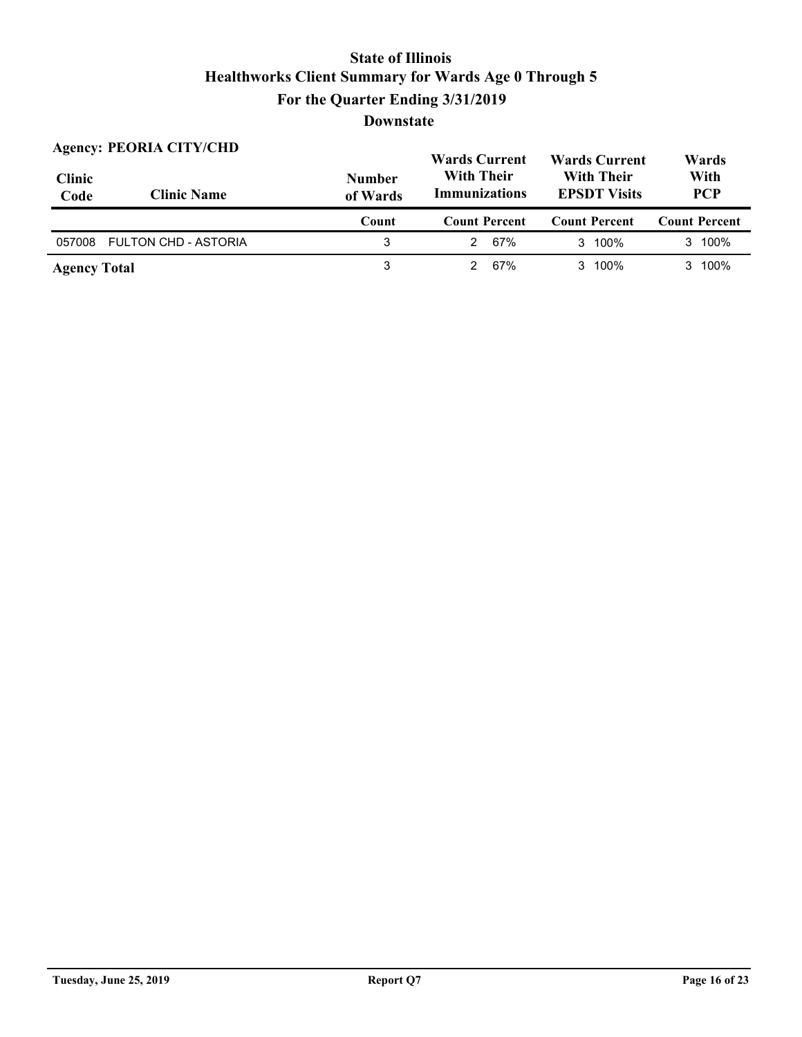| <b>Agency: PEORIA CITY/CHD</b> |                             |                           | <b>Wards Current</b>                      | <b>Wards Current</b>                     | Wards                |  |
|--------------------------------|-----------------------------|---------------------------|-------------------------------------------|------------------------------------------|----------------------|--|
| <b>Clinic</b><br>Code          | <b>Clinic Name</b>          | <b>Number</b><br>of Wards | <b>With Their</b><br><b>Immunizations</b> | <b>With Their</b><br><b>EPSDT Visits</b> | With<br><b>PCP</b>   |  |
|                                |                             | Count                     | <b>Count Percent</b>                      | <b>Count Percent</b>                     | <b>Count Percent</b> |  |
| 057008                         | <b>FULTON CHD - ASTORIA</b> | 3                         | 67%                                       | 3 100%                                   | 3 100%               |  |
|                                |                             |                           |                                           |                                          |                      |  |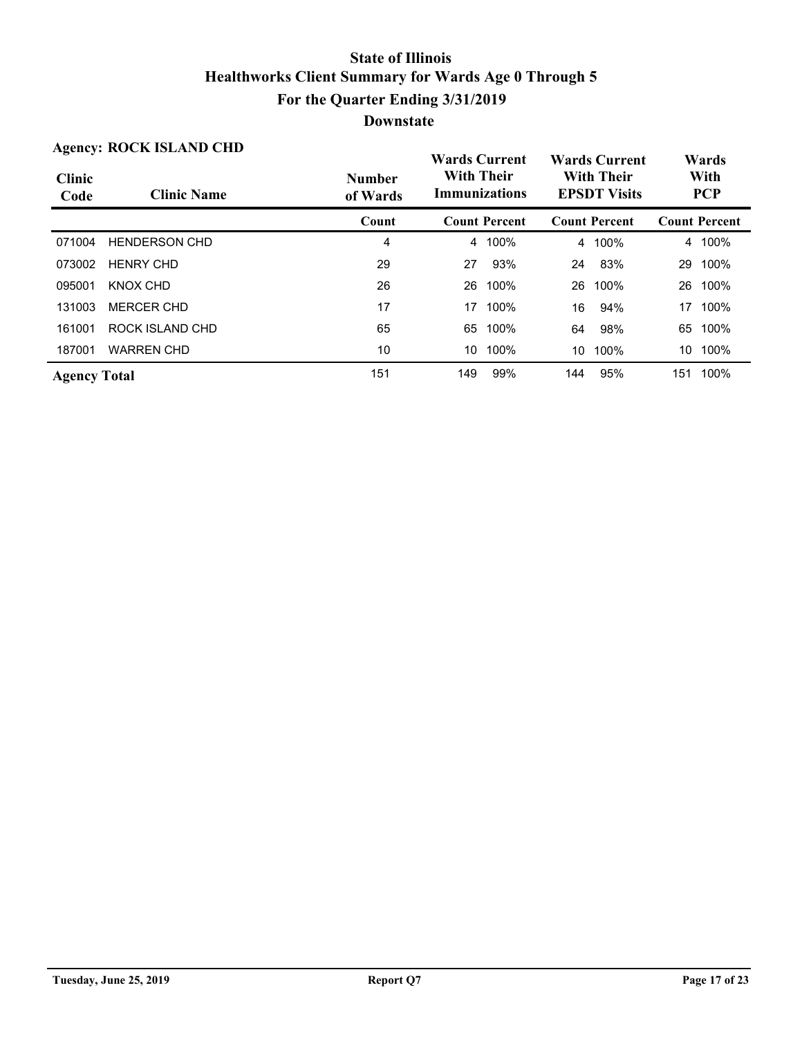| <b>Agency: ROCK ISLAND CHD</b> |                      |                           | <b>Wards Current</b>                      |      | <b>Wards Current</b>                     |                      | Wards              |                      |
|--------------------------------|----------------------|---------------------------|-------------------------------------------|------|------------------------------------------|----------------------|--------------------|----------------------|
| <b>Clinic</b><br>Code          | <b>Clinic Name</b>   | <b>Number</b><br>of Wards | <b>With Their</b><br><b>Immunizations</b> |      | <b>With Their</b><br><b>EPSDT Visits</b> |                      | With<br><b>PCP</b> |                      |
|                                |                      | Count                     | <b>Count Percent</b>                      |      |                                          | <b>Count Percent</b> |                    | <b>Count Percent</b> |
| 071004                         | <b>HENDERSON CHD</b> | 4                         | 4                                         | 100% | 4                                        | 100%                 | 4                  | 100%                 |
| 073002                         | <b>HENRY CHD</b>     | 29                        | 27                                        | 93%  | 24                                       | 83%                  | 29                 | 100%                 |
| 095001                         | KNOX CHD             | 26                        | 26                                        | 100% | 26                                       | 100%                 | 26                 | 100%                 |
| 131003                         | <b>MERCER CHD</b>    | 17                        | 17                                        | 100% | 16                                       | 94%                  | 17                 | 100%                 |
| 161001                         | ROCK ISLAND CHD      | 65                        | 65                                        | 100% | 64                                       | 98%                  | 65                 | 100%                 |
| 187001                         | <b>WARREN CHD</b>    | 10                        | 10                                        | 100% | 10                                       | 100%                 | 10                 | 100%                 |
| <b>Agency Total</b>            |                      | 151                       | 149                                       | 99%  | 144                                      | 95%                  | 151                | 100%                 |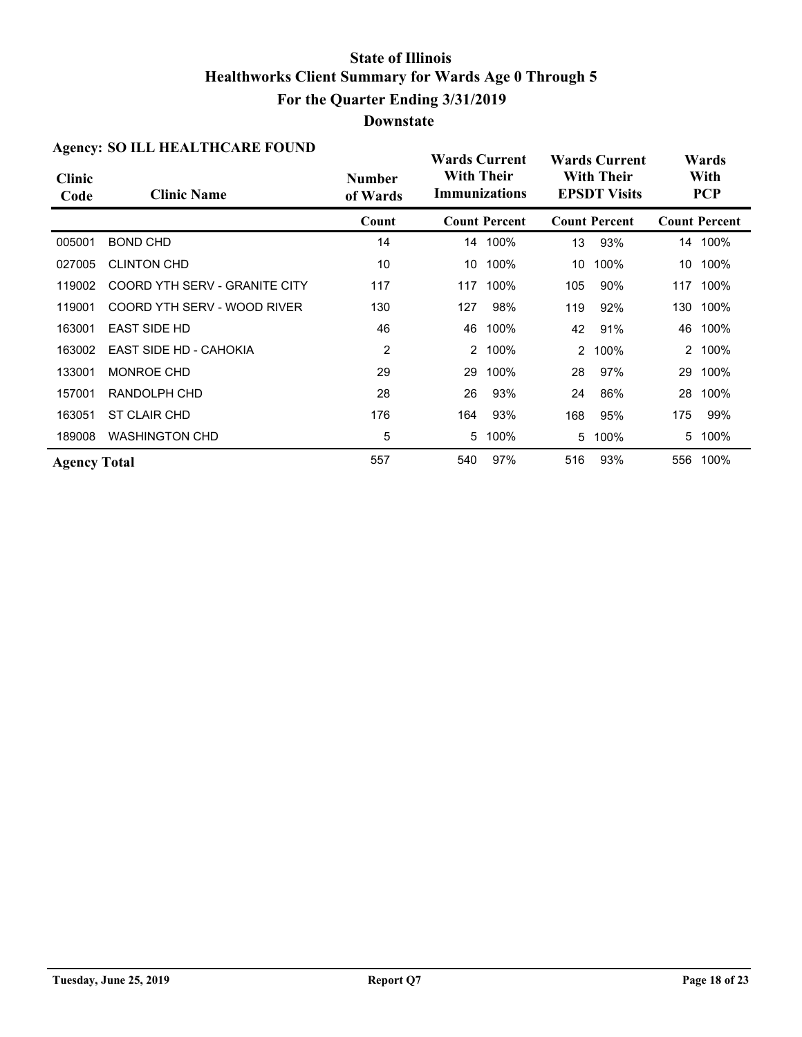| Agency. SO ILL HEALTHCANE FOUND |                               |                           | <b>Wards Current</b>                                                                  |                      | <b>Wards Current</b> |                      | Wards              |                      |
|---------------------------------|-------------------------------|---------------------------|---------------------------------------------------------------------------------------|----------------------|----------------------|----------------------|--------------------|----------------------|
| <b>Clinic</b><br>Code           | <b>Clinic Name</b>            | <b>Number</b><br>of Wards | <b>With Their</b><br><b>With Their</b><br><b>Immunizations</b><br><b>EPSDT Visits</b> |                      |                      |                      | With<br><b>PCP</b> |                      |
|                                 |                               | Count                     |                                                                                       | <b>Count Percent</b> |                      | <b>Count Percent</b> |                    | <b>Count Percent</b> |
| 005001                          | <b>BOND CHD</b>               | 14                        |                                                                                       | 14 100%              | 13                   | 93%                  |                    | 14 100%              |
| 027005                          | <b>CLINTON CHD</b>            | 10                        | 10                                                                                    | 100%                 | 10                   | 100%                 |                    | 10 100%              |
| 119002                          | COORD YTH SERV - GRANITE CITY | 117                       |                                                                                       | 117 100%             | 105                  | 90%                  |                    | 117 100%             |
| 119001                          | COORD YTH SERV - WOOD RIVER   | 130                       | 127                                                                                   | 98%                  | 119                  | 92%                  |                    | 130 100%             |
| 163001                          | <b>EAST SIDE HD</b>           | 46                        |                                                                                       | 46 100%              | 42                   | 91%                  |                    | 46 100%              |
| 163002                          | <b>EAST SIDE HD - CAHOKIA</b> | 2                         | 2                                                                                     | 100%                 | 2                    | 100%                 |                    | 2 100%               |
| 133001                          | <b>MONROE CHD</b>             | 29                        | 29                                                                                    | 100%                 | 28                   | 97%                  |                    | 29 100%              |
| 157001                          | RANDOLPH CHD                  | 28                        | 26                                                                                    | 93%                  | 24                   | 86%                  | 28                 | 100%                 |
| 163051                          | ST CLAIR CHD                  | 176                       | 164                                                                                   | 93%                  | 168                  | 95%                  | 175                | 99%                  |
| 189008                          | <b>WASHINGTON CHD</b>         | 5                         | 5                                                                                     | 100%                 | 5                    | 100%                 | 5                  | 100%                 |
| <b>Agency Total</b>             |                               | 557                       | 540                                                                                   | 97%                  | 516                  | 93%                  | 556                | 100%                 |

#### **Agency: SO ILL HEALTHCARE FOUND**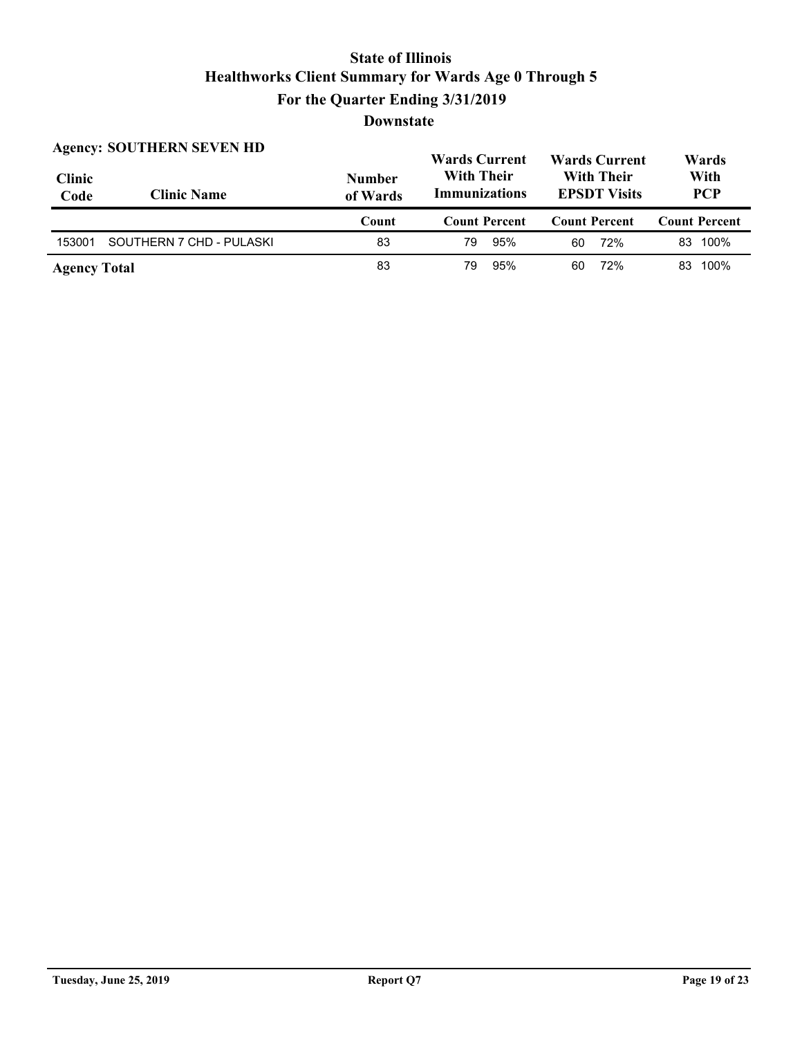$W$ <sub>ands</sub>  $C_{\text{tr}}$  $m_f = W_{\text{a} \dots \text{b}} \cap$ **Agency: SOUTHERN SEVEN HD**

| <b>Clinic</b><br>Code | Agency: SOUTHERN SEVEN HD<br><b>Clinic Name</b> | <b>Number</b><br>of Wards | <b>Wards Current</b><br><b>With Their</b><br><b>Immunizations</b> | <b>Wards Current</b><br><b>With Their</b><br><b>EPSDT Visits</b> | Wards<br>With<br><b>PCP</b> |  |
|-----------------------|-------------------------------------------------|---------------------------|-------------------------------------------------------------------|------------------------------------------------------------------|-----------------------------|--|
|                       |                                                 | Count                     | <b>Count Percent</b>                                              | <b>Count Percent</b>                                             | <b>Count Percent</b>        |  |
| 153001                | SOUTHERN 7 CHD - PULASKI                        | 83                        | 95%<br>79                                                         | 72%<br>60                                                        | 83 100%                     |  |
| <b>Agency Total</b>   |                                                 | 83                        | 95%<br>79                                                         | 72%<br>60                                                        | 83 100%                     |  |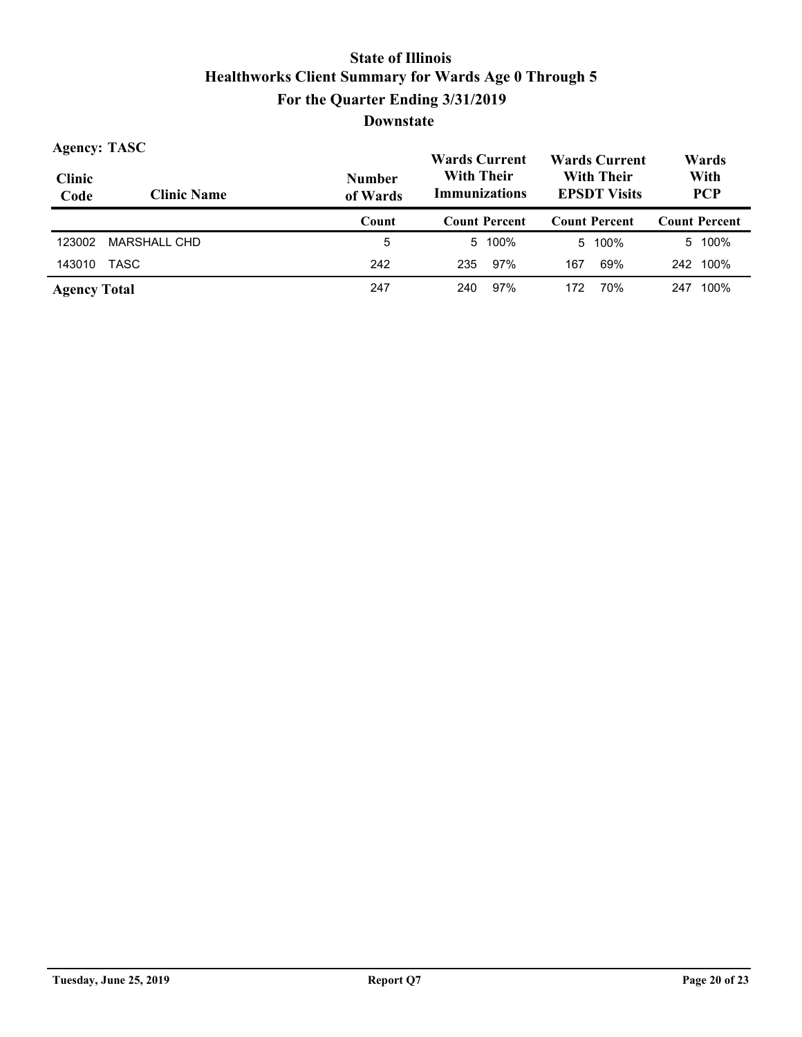| <b>Agency: TASC</b>   |                     |                           | <b>Wards Current</b>                      |      |                                          | <b>Wards Current</b> |                    | Wards                |
|-----------------------|---------------------|---------------------------|-------------------------------------------|------|------------------------------------------|----------------------|--------------------|----------------------|
| <b>Clinic</b><br>Code | <b>Clinic Name</b>  | <b>Number</b><br>of Wards | <b>With Their</b><br><b>Immunizations</b> |      | <b>With Their</b><br><b>EPSDT Visits</b> |                      | With<br><b>PCP</b> |                      |
|                       |                     | Count                     | <b>Count Percent</b>                      |      |                                          | <b>Count Percent</b> |                    | <b>Count Percent</b> |
| 123002                | <b>MARSHALL CHD</b> | 5                         | 5.                                        | 100% |                                          | 5 100%               |                    | 5 100%               |
| 143010                | TASC                | 242                       | 235                                       | 97%  | 167                                      | 69%                  |                    | 242 100%             |
| <b>Agency Total</b>   |                     | 247                       | 240                                       | 97%  | 172                                      | 70%                  | 247                | 100%                 |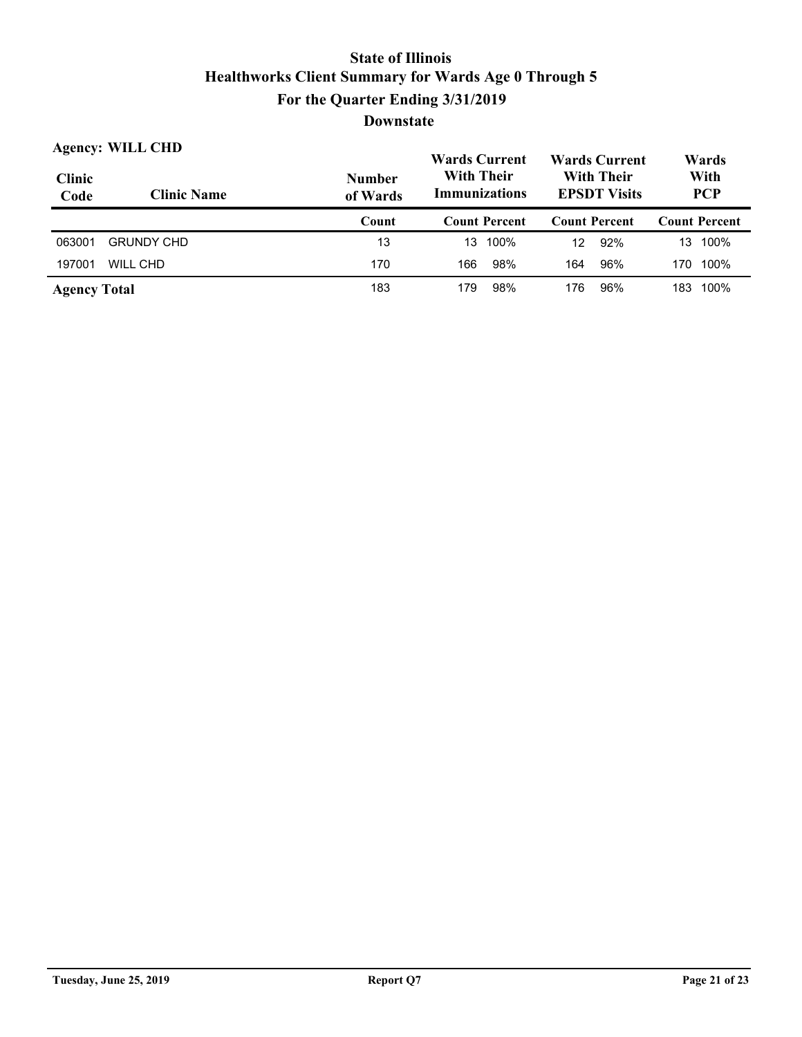|                       | <b>Agency: WILL CHD</b> |                           | <b>Wards Current</b>               |      |                                          | <b>Wards Current</b> | Wards |                      |
|-----------------------|-------------------------|---------------------------|------------------------------------|------|------------------------------------------|----------------------|-------|----------------------|
| <b>Clinic</b><br>Code | <b>Clinic Name</b>      | <b>Number</b><br>of Wards | <b>With Their</b><br>Immunizations |      | <b>With Their</b><br><b>EPSDT Visits</b> | With<br><b>PCP</b>   |       |                      |
|                       |                         | Count                     | <b>Count Percent</b>               |      |                                          | <b>Count Percent</b> |       | <b>Count Percent</b> |
| 063001                | <b>GRUNDY CHD</b>       | 13                        | 13                                 | 100% | 12                                       | 92%                  | 13    | 100%                 |
| 197001                | WILL CHD                | 170                       | 166                                | 98%  | 164                                      | 96%                  | 170   | 100%                 |
| <b>Agency Total</b>   |                         | 183                       | 179                                | 98%  | 176                                      | 96%                  | 183   | 100%                 |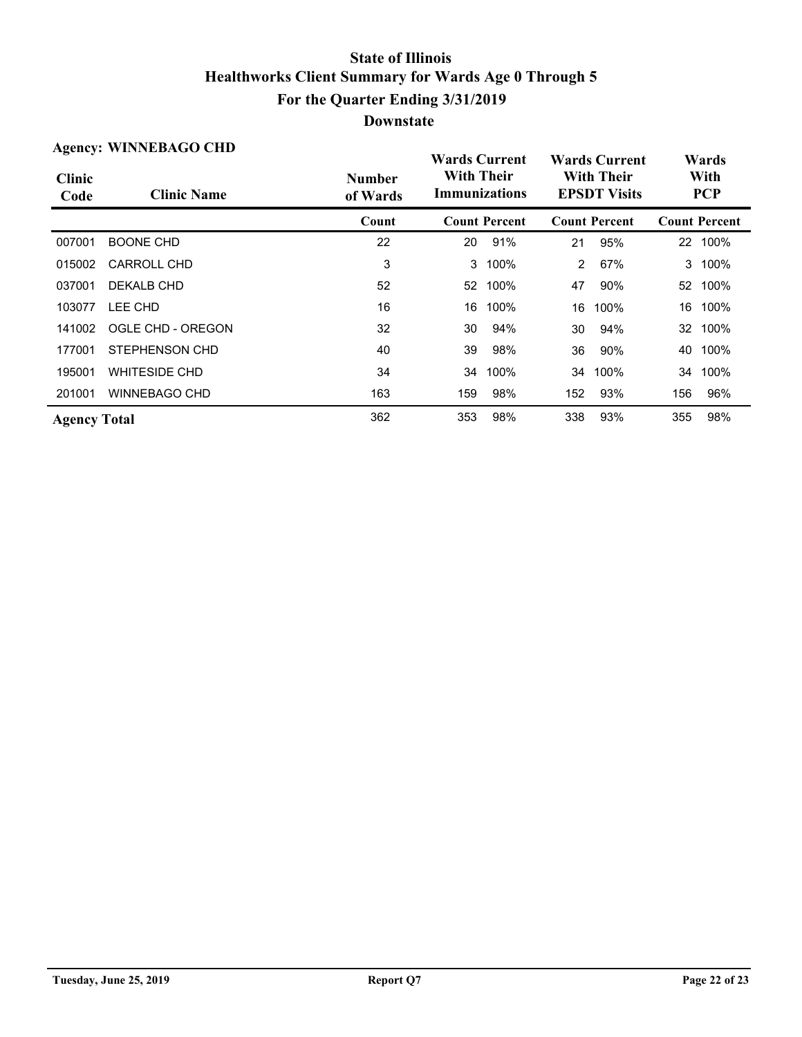| <b>Agency: WINNEBAGO CHD</b> |                      |                           | <b>Wards Current</b>               |                      | <b>Wards Current</b>                     |                      | Wards |                      |
|------------------------------|----------------------|---------------------------|------------------------------------|----------------------|------------------------------------------|----------------------|-------|----------------------|
| <b>Clinic</b><br>Code        | <b>Clinic Name</b>   | <b>Number</b><br>of Wards | <b>With Their</b><br>Immunizations |                      | <b>With Their</b><br><b>EPSDT Visits</b> |                      |       | With<br><b>PCP</b>   |
|                              |                      | Count                     |                                    | <b>Count Percent</b> |                                          | <b>Count Percent</b> |       | <b>Count Percent</b> |
| 007001                       | <b>BOONE CHD</b>     | 22                        | 20                                 | 91%                  | 21                                       | 95%                  |       | 22 100%              |
| 015002                       | CARROLL CHD          | 3                         | 3                                  | 100%                 | $\overline{2}$                           | 67%                  | 3     | 100%                 |
| 037001                       | DEKALB CHD           | 52                        | 52                                 | 100%                 | 47                                       | 90%                  |       | 52 100%              |
| 103077                       | LEE CHD              | 16                        | 16                                 | 100%                 | 16                                       | 100%                 | 16    | 100%                 |
| 141002                       | OGLE CHD - OREGON    | 32                        | 30                                 | 94%                  | 30                                       | 94%                  |       | 32 100%              |
| 177001                       | STEPHENSON CHD       | 40                        | 39                                 | 98%                  | 36                                       | 90%                  | 40    | 100%                 |
| 195001                       | <b>WHITESIDE CHD</b> | 34                        | 34                                 | 100%                 | 34                                       | 100%                 | 34    | 100%                 |
| 201001                       | <b>WINNEBAGO CHD</b> | 163                       | 159                                | 98%                  | 152                                      | 93%                  | 156   | 96%                  |
| <b>Agency Total</b>          |                      | 362                       | 353                                | 98%                  | 338                                      | 93%                  | 355   | 98%                  |